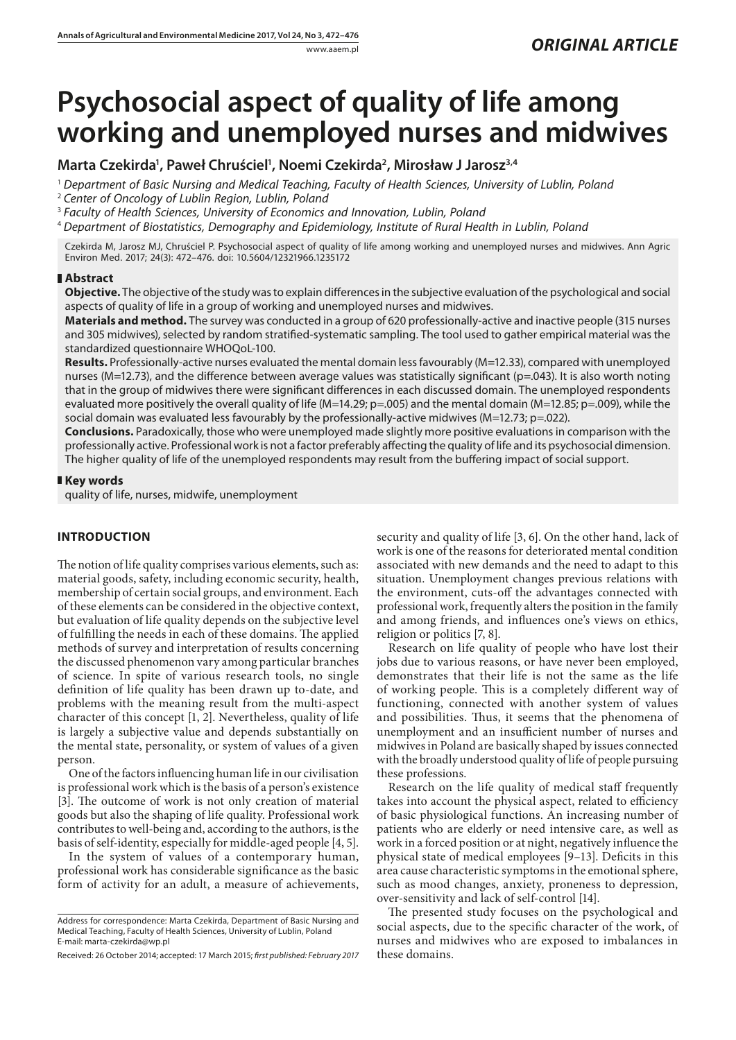# **Psychosocial aspect of quality of life among working and unemployed nurses and midwives**

**Marta Czekirda1 , Paweł Chruściel1 , Noemi Czekirda2 , Mirosław J Jarosz3,4**

<sup>1</sup> *Department of Basic Nursing and Medical Teaching, Faculty of Health Sciences, University of Lublin, Poland*

<sup>2</sup> *Center of Oncology of Lublin Region, Lublin, Poland*

<sup>3</sup> *Faculty of Health Sciences, University of Economics and Innovation, Lublin, Poland*

<sup>4</sup> *Department of Biostatistics, Demography and Epidemiology, Institute of Rural Health in Lublin, Poland*

Czekirda M, Jarosz MJ, Chruściel P. Psychosocial aspect of quality of life among working and unemployed nurses and midwives. Ann Agric Environ Med. 2017; 24(3): 472–476. doi: 10.5604/12321966.1235172

# **Abstract**

**Objective.** The objective of the study was to explain differences in the subjective evaluation of the psychological and social aspects of quality of life in a group of working and unemployed nurses and midwives.

**Materials and method.** The survey was conducted in a group of 620 professionally-active and inactive people (315 nurses and 305 midwives), selected by random stratified-systematic sampling. The tool used to gather empirical material was the standardized questionnaire WHOQoL-100.

**Results.** Professionally-active nurses evaluated the mental domain less favourably (M=12.33), compared with unemployed nurses (M=12.73), and the difference between average values was statistically significant (p=.043). It is also worth noting that in the group of midwives there were significant differences in each discussed domain. The unemployed respondents evaluated more positively the overall quality of life (M=14.29; p=.005) and the mental domain (M=12.85; p=.009), while the social domain was evaluated less favourably by the professionally-active midwives (M=12.73; p=.022).

**Conclusions.** Paradoxically, those who were unemployed made slightly more positive evaluations in comparison with the professionally active. Professional work is not a factor preferably affecting the quality of life and its psychosocial dimension. The higher quality of life of the unemployed respondents may result from the buffering impact of social support.

# **Key words**

quality of life, nurses, midwife, unemployment

# **INTRODUCTION**

The notion of life quality comprises various elements, such as: material goods, safety, including economic security, health, membership of certain social groups, and environment. Each of these elements can be considered in the objective context, but evaluation of life quality depends on the subjective level of fulfilling the needs in each of these domains. The applied methods of survey and interpretation of results concerning the discussed phenomenon vary among particular branches of science. In spite of various research tools, no single definition of life quality has been drawn up to-date, and problems with the meaning result from the multi-aspect character of this concept [1, 2]. Nevertheless, quality of life is largely a subjective value and depends substantially on the mental state, personality, or system of values of a given person.

One of the factors influencing human life in our civilisation is professional work which is the basis of a person's existence [3]. The outcome of work is not only creation of material goods but also the shaping of life quality. Professional work contributes to well-being and, according to the authors, is the basis of self-identity, especially for middle-aged people [4, 5].

In the system of values of a contemporary human, professional work has considerable significance as the basic form of activity for an adult, a measure of achievements, security and quality of life [3, 6]. On the other hand, lack of work is one of the reasons for deteriorated mental condition associated with new demands and the need to adapt to this situation. Unemployment changes previous relations with the environment, cuts-off the advantages connected with professional work, frequently alters the position in the family and among friends, and influences one's views on ethics, religion or politics [7, 8].

Research on life quality of people who have lost their jobs due to various reasons, or have never been employed, demonstrates that their life is not the same as the life of working people. This is a completely different way of functioning, connected with another system of values and possibilities. Thus, it seems that the phenomena of unemployment and an insufficient number of nurses and midwives in Poland are basically shaped by issues connected with the broadly understood quality of life of people pursuing these professions.

Research on the life quality of medical staff frequently takes into account the physical aspect, related to efficiency of basic physiological functions. An increasing number of patients who are elderly or need intensive care, as well as work in a forced position or at night, negatively influence the physical state of medical employees [9–13]. Deficits in this area cause characteristic symptoms in the emotional sphere, such as mood changes, anxiety, proneness to depression, over-sensitivity and lack of self-control [14].

The presented study focuses on the psychological and social aspects, due to the specific character of the work, of nurses and midwives who are exposed to imbalances in these domains.

Address for correspondence: Marta Czekirda, Department of Basic Nursing and Medical Teaching, Faculty of Health Sciences, University of Lublin, Poland E-mail: marta-czekirda@wp.pl

Received: 26 October 2014; accepted: 17 March 2015; *first published: February 2017*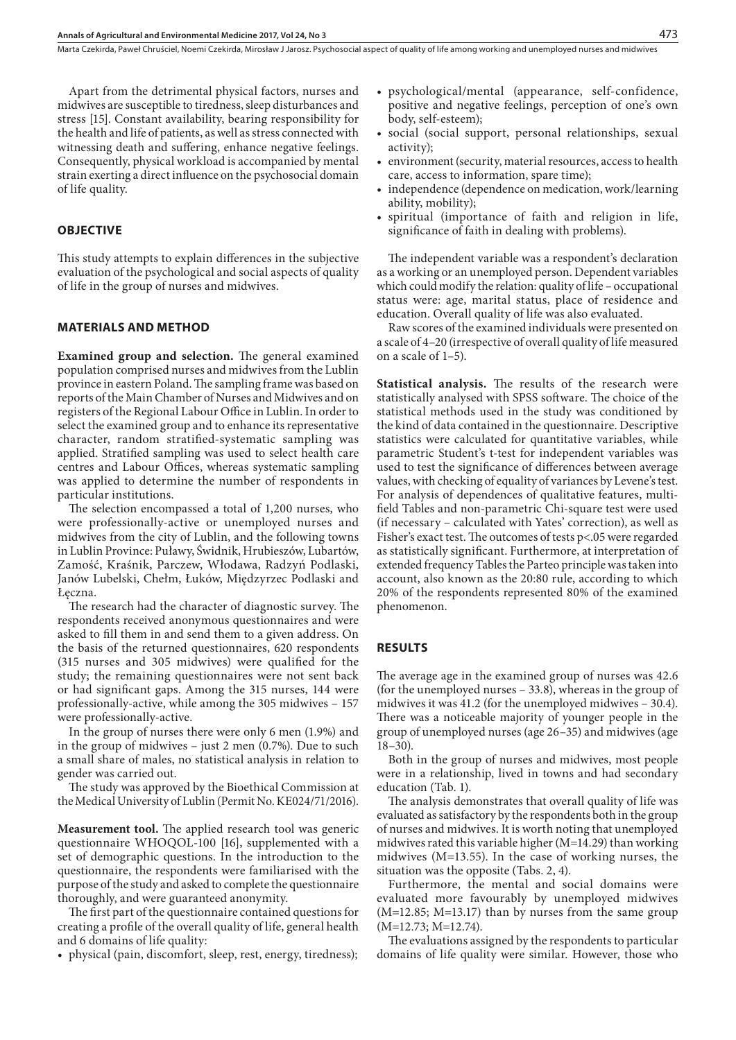Apart from the detrimental physical factors, nurses and midwives are susceptible to tiredness, sleep disturbances and stress [15]. Constant availability, bearing responsibility for the health and life of patients, as well as stress connected with witnessing death and suffering, enhance negative feelings. Consequently, physical workload is accompanied by mental strain exerting a direct influence on the psychosocial domain of life quality.

## **OBJECTIVE**

This study attempts to explain differences in the subjective evaluation of the psychological and social aspects of quality of life in the group of nurses and midwives.

#### **MATERIALS AND METHOD**

**Examined group and selection.** The general examined population comprised nurses and midwives from the Lublin province in eastern Poland. The sampling frame was based on reports of the Main Chamber of Nurses and Midwives and on registers of the Regional Labour Office in Lublin. In order to select the examined group and to enhance its representative character, random stratified-systematic sampling was applied. Stratified sampling was used to select health care centres and Labour Offices, whereas systematic sampling was applied to determine the number of respondents in particular institutions.

The selection encompassed a total of 1,200 nurses, who were professionally-active or unemployed nurses and midwives from the city of Lublin, and the following towns in Lublin Province: Puławy, Świdnik, Hrubieszów, Lubartów, Zamość, Kraśnik, Parczew, Włodawa, Radzyń Podlaski, Janów Lubelski, Chełm, Łuków, Międzyrzec Podlaski and Łęczna.

The research had the character of diagnostic survey. The respondents received anonymous questionnaires and were asked to fill them in and send them to a given address. On the basis of the returned questionnaires, 620 respondents (315 nurses and 305 midwives) were qualified for the study; the remaining questionnaires were not sent back or had significant gaps. Among the 315 nurses, 144 were professionally-active, while among the 305 midwives – 157 were professionally-active.

In the group of nurses there were only 6 men (1.9%) and in the group of midwives – just 2 men (0.7%). Due to such a small share of males, no statistical analysis in relation to gender was carried out.

The study was approved by the Bioethical Commission at the Medical University of Lublin (Permit No. KE024/71/2016).

**Measurement tool.** The applied research tool was generic questionnaire WHOQOL-100 [16], supplemented with a set of demographic questions. In the introduction to the questionnaire, the respondents were familiarised with the purpose of the study and asked to complete the questionnaire thoroughly, and were guaranteed anonymity.

The first part of the questionnaire contained questions for creating a profile of the overall quality of life, general health and 6 domains of life quality:

• physical (pain, discomfort, sleep, rest, energy, tiredness);

- psychological/mental (appearance, self-confidence, positive and negative feelings, perception of one's own body, self-esteem);
- social (social support, personal relationships, sexual activity);
- environment (security, material resources, access to health care, access to information, spare time);
- independence (dependence on medication, work/learning ability, mobility);
- • spiritual (importance of faith and religion in life, significance of faith in dealing with problems).

The independent variable was a respondent's declaration as a working or an unemployed person. Dependent variables which could modify the relation: quality of life – occupational status were: age, marital status, place of residence and education. Overall quality of life was also evaluated.

Raw scores of the examined individuals were presented on a scale of 4–20 (irrespective of overall quality of life measured on a scale of 1–5).

**Statistical analysis.** The results of the research were statistically analysed with SPSS software. The choice of the statistical methods used in the study was conditioned by the kind of data contained in the questionnaire. Descriptive statistics were calculated for quantitative variables, while parametric Student's t-test for independent variables was used to test the significance of differences between average values, with checking of equality of variances by Levene's test. For analysis of dependences of qualitative features, multifield Tables and non-parametric Chi-square test were used (if necessary – calculated with Yates' correction), as well as Fisher's exact test. The outcomes of tests p<.05 were regarded as statistically significant. Furthermore, at interpretation of extended frequency Tables the Parteo principle was taken into account, also known as the 20:80 rule, according to which 20% of the respondents represented 80% of the examined phenomenon.

# **RESULTS**

The average age in the examined group of nurses was 42.6 (for the unemployed nurses – 33.8), whereas in the group of midwives it was 41.2 (for the unemployed midwives – 30.4). There was a noticeable majority of younger people in the group of unemployed nurses (age 26–35) and midwives (age  $18 - 30$ ).

Both in the group of nurses and midwives, most people were in a relationship, lived in towns and had secondary education (Tab. 1).

The analysis demonstrates that overall quality of life was evaluated as satisfactory by the respondents both in the group of nurses and midwives. It is worth noting that unemployed midwives rated this variable higher (M=14.29) than working midwives (M=13.55). In the case of working nurses, the situation was the opposite (Tabs. 2, 4).

Furthermore, the mental and social domains were evaluated more favourably by unemployed midwives (M=12.85; M=13.17) than by nurses from the same group (M=12.73; M=12.74).

The evaluations assigned by the respondents to particular domains of life quality were similar. However, those who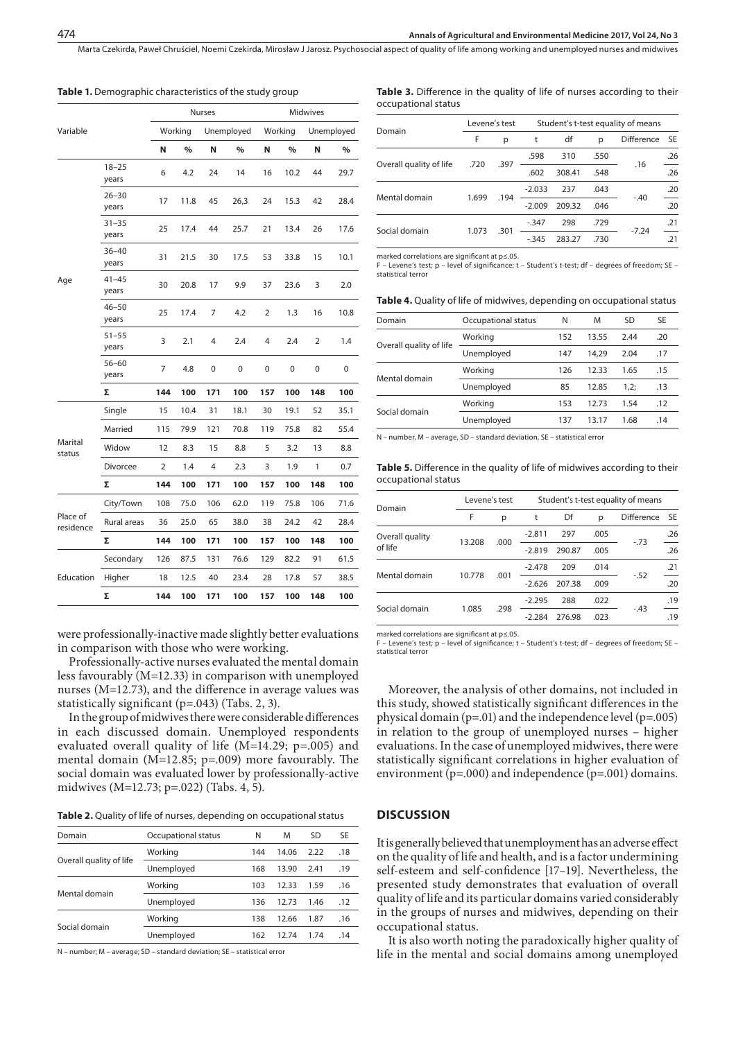|                    |                |         | <b>Nurses</b> |            |                |         | Midwives |            |  |  |
|--------------------|----------------|---------|---------------|------------|----------------|---------|----------|------------|--|--|
| Variable           |                | Working |               | Unemployed |                | Working |          | Unemployed |  |  |
|                    | N              | %       | N             | %          | N              | %       | N        | %          |  |  |
| $18 - 25$<br>years | 6              | 4.2     | 24            | 14         | 16             | 10.2    | 44       | 29.7       |  |  |
| $26 - 30$<br>years | 17             | 11.8    | 45            | 26,3       | 24             | 15.3    | 42       | 28.4       |  |  |
| $31 - 35$<br>years | 25             | 17.4    | 44            | 25.7       | 21             | 13.4    | 26       | 17.6       |  |  |
| $36 - 40$<br>years | 31             | 21.5    | 30            | 17.5       | 53             | 33.8    | 15       | 10.1       |  |  |
| $41 - 45$<br>years | 30             | 20.8    | 17            | 9.9        | 37             | 23.6    | 3        | 2.0        |  |  |
| $46 - 50$<br>years | 25             | 17.4    | 7             | 4.2        | $\overline{2}$ | 1.3     | 16       | 10.8       |  |  |
| $51 - 55$<br>years | 3              | 2.1     | 4             | 2.4        | 4              | 2.4     | 2        | 1.4        |  |  |
| $56 - 60$<br>years | 7              | 4.8     | 0             | 0          | 0              | 0       | 0        | 0          |  |  |
| Σ                  | 144            | 100     | 171           | 100        | 157            | 100     | 148      | 100        |  |  |
| Single             | 15             | 10.4    | 31            | 18.1       | 30             | 19.1    | 52       | 35.1       |  |  |
| Married            | 115            | 79.9    | 121           | 70.8       | 119            | 75.8    | 82       | 55.4       |  |  |
| Widow              | 12             | 8.3     | 15            | 8.8        | 5              | 3.2     | 13       | 8.8        |  |  |
| Divorcee           | $\overline{2}$ | 1.4     | 4             | 2.3        | 3              | 1.9     | 1        | 0.7        |  |  |
| Σ                  | 144            | 100     | 171           | 100        | 157            | 100     | 148      | 100        |  |  |
| City/Town          | 108            | 75.0    | 106           | 62.0       | 119            | 75.8    | 106      | 71.6       |  |  |
| Rural areas        | 36             | 25.0    | 65            | 38.0       | 38             | 24.2    | 42       | 28.4       |  |  |
| Σ                  | 144            | 100     | 171           | 100        | 157            | 100     | 148      | 100        |  |  |
| Secondary          | 126            | 87.5    | 131           | 76.6       | 129            | 82.2    | 91       | 61.5       |  |  |
| Higher             | 18             | 12.5    | 40            | 23.4       | 28             | 17.8    | 57       | 38.5       |  |  |
| Σ                  | 144            | 100     | 171           | 100        | 157            | 100     | 148      | 100        |  |  |
|                    |                |         |               |            |                |         |          |            |  |  |

**Table 1.** Demographic characteristics of the study group

were professionally-inactive made slightly better evaluations in comparison with those who were working.

Professionally-active nurses evaluated the mental domain less favourably (M=12.33) in comparison with unemployed nurses (M=12.73), and the difference in average values was statistically significant (p=.043) (Tabs. 2, 3).

In the group of midwives there were considerable differences in each discussed domain. Unemployed respondents evaluated overall quality of life (M=14.29; p=.005) and mental domain (M=12.85; p=.009) more favourably. The social domain was evaluated lower by professionally-active midwives (M=12.73; p=.022) (Tabs. 4, 5).

| Domain                  | Occupational status | Ν   | M     | SD   | SE  |
|-------------------------|---------------------|-----|-------|------|-----|
|                         | Working             | 144 | 14.06 | 2.22 | .18 |
| Overall quality of life | Unemployed          | 168 | 13.90 | 2.41 | .19 |
|                         | Working             | 103 | 12.33 | 1.59 | .16 |
| Mental domain           | Unemployed          | 136 | 12.73 | 1.46 | .12 |
|                         | Working             | 138 | 12.66 | 1.87 | .16 |
| Social domain           | Unemployed          | 162 | 12.74 | 1.74 | .14 |

N – number; M – average; SD – standard deviation; SE – statistical error

**Table 3.** Difference in the quality of life of nurses according to their occupational status

| Domain                  | Levene's test |      | Student's t-test equality of means |        |      |                   |           |
|-------------------------|---------------|------|------------------------------------|--------|------|-------------------|-----------|
|                         | F             | p    | t                                  | df     | p    | <b>Difference</b> | <b>SE</b> |
| Overall quality of life |               | .397 | .598                               | 310    | .550 | .16               | .26       |
|                         | .720          |      | .602                               | 308.41 | .548 |                   | .26       |
| Mental domain           |               | .194 | $-2.033$                           | 237    | .043 | $-.40$            | .20       |
|                         | 1.699         |      | $-2.009$                           | 209.32 | .046 |                   | .20       |
| Social domain           | 1.073         | .301 | $-347$                             | 298    | .729 | $-7.24$           | .21       |
|                         |               |      | $-345$                             | 283.27 | .730 |                   | .21       |

marked correlations are significant at p≤.05.

F – Levene's test; p – level of significance; t – Student's t-test; df – degrees of freedom; SE – statistical terror

| <b>Table 4.</b> Quality of life of midwives, depending on occupational status |  |  |  |
|-------------------------------------------------------------------------------|--|--|--|
|-------------------------------------------------------------------------------|--|--|--|

| Domain                  | Occupational status | N   | M     | SD   | SE  |
|-------------------------|---------------------|-----|-------|------|-----|
|                         | Working             | 152 | 13.55 | 2.44 | .20 |
| Overall quality of life | Unemployed          | 147 | 14.29 | 2.04 | .17 |
|                         | Working             | 126 | 12.33 | 1.65 | .15 |
| Mental domain           | Unemployed          | 85  | 12.85 | 1.2: | .13 |
| Social domain           | Working             | 153 | 12.73 | 1.54 | .12 |
|                         | Unemployed          | 137 | 13.17 | 1.68 | .14 |

N – number, M – average, SD – standard deviation, SE – statistical error

**Table 5.** Difference in the quality of life of midwives according to their occupational status

| Domain          |                | Levene's test |          | Student's t-test equality of means |      |                           |           |  |  |
|-----------------|----------------|---------------|----------|------------------------------------|------|---------------------------|-----------|--|--|
|                 | F              | p             | t        | Df                                 | p    | <b>Difference</b>         | <b>SE</b> |  |  |
| Overall quality |                |               | $-2.811$ | 297                                | .005 |                           | .26       |  |  |
| of life         | 13.208<br>.000 | $-2.819$      | 290.87   | .005                               |      | .26                       |           |  |  |
|                 | 10.778         |               | $-2.478$ | 209                                | .014 | $-73$<br>$-.52$<br>$-.43$ | .21       |  |  |
| Mental domain   |                | .001          | $-2.626$ | 207.38                             | .009 |                           | .20       |  |  |
| Social domain   |                | .298          | $-2.295$ | 288                                | .022 |                           | .19       |  |  |
|                 | 1.085          |               | $-2.284$ | 276.98                             | .023 |                           | .19       |  |  |

marked correlations are significant at p≤.05.

F – Levene's test; p – level of significance; t – Student's t-test; df – degrees of freedom; SE – statistical terror

Moreover, the analysis of other domains, not included in this study, showed statistically significant differences in the physical domain (p=.01) and the independence level (p=.005) in relation to the group of unemployed nurses – higher evaluations. In the case of unemployed midwives, there were statistically significant correlations in higher evaluation of environment (p=.000) and independence (p=.001) domains.

## **DISCUSSION**

It is generally believed that unemployment has an adverse effect on the quality of life and health, and is a factor undermining self-esteem and self-confidence [17–19]. Nevertheless, the presented study demonstrates that evaluation of overall quality of life and its particular domains varied considerably in the groups of nurses and midwives, depending on their occupational status.

It is also worth noting the paradoxically higher quality of life in the mental and social domains among unemployed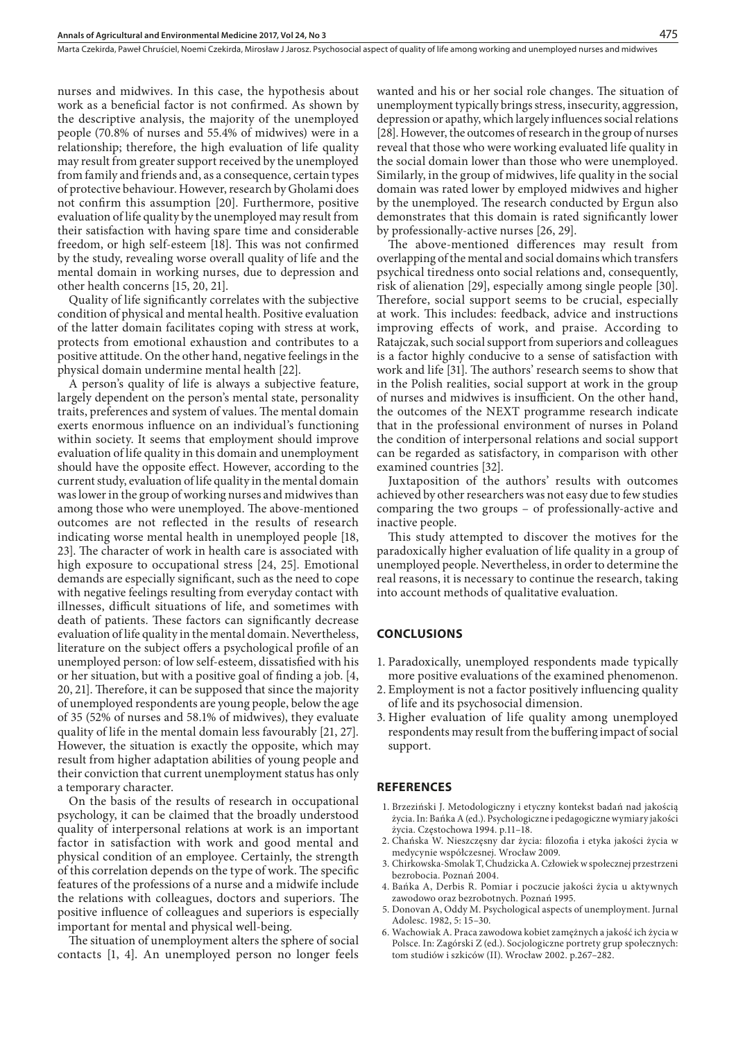nurses and midwives. In this case, the hypothesis about work as a beneficial factor is not confirmed. As shown by the descriptive analysis, the majority of the unemployed people (70.8% of nurses and 55.4% of midwives) were in a relationship; therefore, the high evaluation of life quality may result from greater support received by the unemployed from family and friends and, as a consequence, certain types of protective behaviour. However, research by Gholami does not confirm this assumption [20]. Furthermore, positive evaluation of life quality by the unemployed may result from their satisfaction with having spare time and considerable freedom, or high self-esteem [18]. This was not confirmed by the study, revealing worse overall quality of life and the mental domain in working nurses, due to depression and other health concerns [15, 20, 21].

Quality of life significantly correlates with the subjective condition of physical and mental health. Positive evaluation of the latter domain facilitates coping with stress at work, protects from emotional exhaustion and contributes to a positive attitude. On the other hand, negative feelings in the physical domain undermine mental health [22].

A person's quality of life is always a subjective feature, largely dependent on the person's mental state, personality traits, preferences and system of values. The mental domain exerts enormous influence on an individual's functioning within society. It seems that employment should improve evaluation of life quality in this domain and unemployment should have the opposite effect. However, according to the current study, evaluation of life quality in the mental domain was lower in the group of working nurses and midwives than among those who were unemployed. The above-mentioned outcomes are not reflected in the results of research indicating worse mental health in unemployed people [18, 23]. The character of work in health care is associated with high exposure to occupational stress [24, 25]. Emotional demands are especially significant, such as the need to cope with negative feelings resulting from everyday contact with illnesses, difficult situations of life, and sometimes with death of patients. These factors can significantly decrease evaluation of life quality in the mental domain. Nevertheless, literature on the subject offers a psychological profile of an unemployed person: of low self-esteem, dissatisfied with his or her situation, but with a positive goal of finding a job. [4, 20, 21]. Therefore, it can be supposed that since the majority of unemployed respondents are young people, below the age of 35 (52% of nurses and 58.1% of midwives), they evaluate quality of life in the mental domain less favourably [21, 27]. However, the situation is exactly the opposite, which may result from higher adaptation abilities of young people and their conviction that current unemployment status has only a temporary character.

On the basis of the results of research in occupational psychology, it can be claimed that the broadly understood quality of interpersonal relations at work is an important factor in satisfaction with work and good mental and physical condition of an employee. Certainly, the strength of this correlation depends on the type of work. The specific features of the professions of a nurse and a midwife include the relations with colleagues, doctors and superiors. The positive influence of colleagues and superiors is especially important for mental and physical well-being.

The situation of unemployment alters the sphere of social contacts [1, 4]. An unemployed person no longer feels wanted and his or her social role changes. The situation of unemployment typically brings stress, insecurity, aggression, depression or apathy, which largely influences social relations [28]. However, the outcomes of research in the group of nurses reveal that those who were working evaluated life quality in the social domain lower than those who were unemployed. Similarly, in the group of midwives, life quality in the social domain was rated lower by employed midwives and higher by the unemployed. The research conducted by Ergun also demonstrates that this domain is rated significantly lower by professionally-active nurses [26, 29].

The above-mentioned differences may result from overlapping of the mental and social domains which transfers psychical tiredness onto social relations and, consequently, risk of alienation [29], especially among single people [30]. Therefore, social support seems to be crucial, especially at work. This includes: feedback, advice and instructions improving effects of work, and praise. According to Ratajczak, such social support from superiors and colleagues is a factor highly conducive to a sense of satisfaction with work and life [31]. The authors' research seems to show that in the Polish realities, social support at work in the group of nurses and midwives is insufficient. On the other hand, the outcomes of the NEXT programme research indicate that in the professional environment of nurses in Poland the condition of interpersonal relations and social support can be regarded as satisfactory, in comparison with other examined countries [32].

Juxtaposition of the authors' results with outcomes achieved by other researchers was not easy due to few studies comparing the two groups – of professionally-active and inactive people.

This study attempted to discover the motives for the paradoxically higher evaluation of life quality in a group of unemployed people. Nevertheless, in order to determine the real reasons, it is necessary to continue the research, taking into account methods of qualitative evaluation.

#### **CONCLUSIONS**

- 1. Paradoxically, unemployed respondents made typically more positive evaluations of the examined phenomenon.
- 2. Employment is not a factor positively influencing quality of life and its psychosocial dimension.
- 3. Higher evaluation of life quality among unemployed respondents may result from the buffering impact of social support.

#### **REFERENCES**

- 1. Brzeziński J. Metodologiczny i etyczny kontekst badań nad jakością życia. In: Bańka A (ed.). Psychologiczne i pedagogiczne wymiary jakości życia. Częstochowa 1994. p.11–18.
- 2. Chańska W. Nieszczęsny dar życia: filozofia i etyka jakości życia w medycynie współczesnej. Wrocław 2009.
- 3. Chirkowska-Smolak T, Chudzicka A. Człowiek w społecznej przestrzeni bezrobocia. Poznań 2004.
- 4. Bańka A, Derbis R. Pomiar i poczucie jakości życia u aktywnych zawodowo oraz bezrobotnych. Poznań 1995.
- 5. Donovan A, Oddy M. Psychological aspects of unemployment. Jurnal Adolesc. 1982, 5: 15–30.
- 6. Wachowiak A. Praca zawodowa kobiet zamężnych a jakość ich życia w Polsce. In: Zagórski Z (ed.). Socjologiczne portrety grup społecznych: tom studiów i szkiców (II). Wrocław 2002. p.267–282.